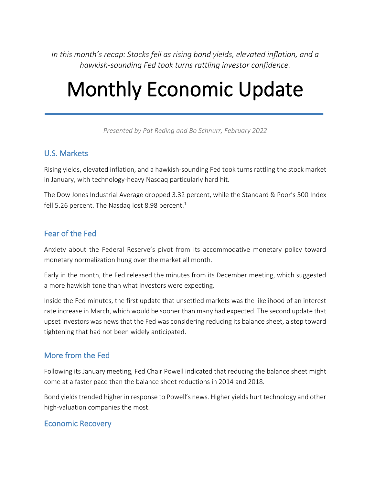*In this month's recap: Stocks fell as rising bond yields, elevated inflation, and a hawkish-sounding Fed took turns rattling investor confidence.*

# Monthly Economic Update

*Presented by Pat Reding and Bo Schnurr, February 2022*

#### U.S. Markets

Rising yields, elevated inflation, and a hawkish-sounding Fed took turns rattling the stock market in January, with technology-heavy Nasdaq particularly hard hit.

The Dow Jones Industrial Average dropped 3.32 percent, while the Standard & Poor's 500 Index fell 5.26 percent. The Nasdaq lost 8.98 percent.<sup>1</sup>

## Fear of the Fed

Anxiety about the Federal Reserve's pivot from its accommodative monetary policy toward monetary normalization hung over the market all month.

Early in the month, the Fed released the minutes from its December meeting, which suggested a more hawkish tone than what investors were expecting.

Inside the Fed minutes, the first update that unsettled markets was the likelihood of an interest rate increase in March, which would be sooner than many had expected. The second update that upset investors was news that the Fed was considering reducing its balance sheet, a step toward tightening that had not been widely anticipated.

## More from the Fed

Following its January meeting, Fed Chair Powell indicated that reducing the balance sheet might come at a faster pace than the balance sheet reductions in 2014 and 2018.

Bond yields trended higher in response to Powell's news. Higher yields hurt technology and other high-valuation companies the most.

#### Economic Recovery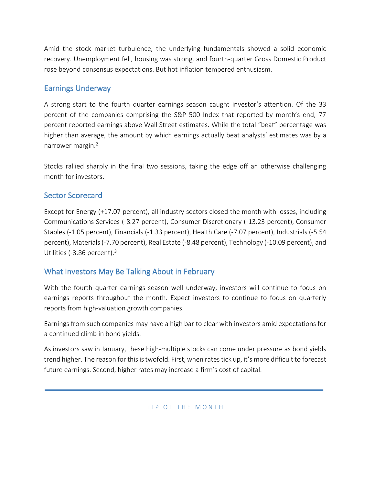Amid the stock market turbulence, the underlying fundamentals showed a solid economic recovery. Unemployment fell, housing was strong, and fourth-quarter Gross Domestic Product rose beyond consensus expectations. But hot inflation tempered enthusiasm.

## Earnings Underway

A strong start to the fourth quarter earnings season caught investor's attention. Of the 33 percent of the companies comprising the S&P 500 Index that reported by month's end, 77 percent reported earnings above Wall Street estimates. While the total "beat" percentage was higher than average, the amount by which earnings actually beat analysts' estimates was by a narrower margin.<sup>2</sup>

Stocks rallied sharply in the final two sessions, taking the edge off an otherwise challenging month for investors.

#### Sector Scorecard

Except for Energy (+17.07 percent), all industry sectors closed the month with losses, including Communications Services (-8.27 percent), Consumer Discretionary (-13.23 percent), Consumer Staples (-1.05 percent), Financials (-1.33 percent), Health Care (-7.07 percent), Industrials (-5.54 percent), Materials (-7.70 percent), Real Estate (-8.48 percent), Technology (-10.09 percent), and Utilities (-3.86 percent).<sup>3</sup>

## What Investors May Be Talking About in February

With the fourth quarter earnings season well underway, investors will continue to focus on earnings reports throughout the month. Expect investors to continue to focus on quarterly reports from high-valuation growth companies.

Earnings from such companies may have a high bar to clear with investors amid expectations for a continued climb in bond yields.

As investors saw in January, these high-multiple stocks can come under pressure as bond yields trend higher. The reason for this is twofold. First, when rates tick up, it's more difficult to forecast future earnings. Second, higher rates may increase a firm's cost of capital.

#### TIP OF THE MONTH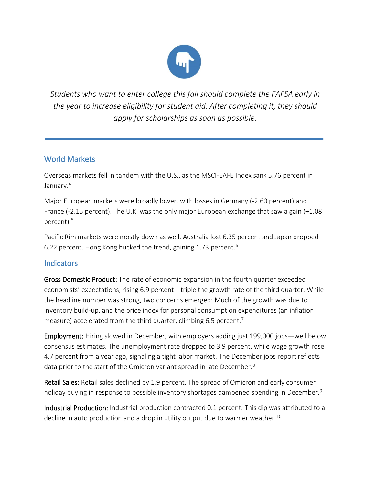

*Students who want to enter college this fall should complete the FAFSA early in the year to increase eligibility for student aid. After completing it, they should apply for scholarships as soon as possible.*

## World Markets

Overseas markets fell in tandem with the U.S., as the MSCI-EAFE Index sank 5.76 percent in January.<sup>4</sup>

Major European markets were broadly lower, with losses in Germany (-2.60 percent) and France (-2.15 percent). The U.K. was the only major European exchange that saw a gain (+1.08 percent).<sup>5</sup>

Pacific Rim markets were mostly down as well. Australia lost 6.35 percent and Japan dropped 6.22 percent. Hong Kong bucked the trend, gaining 1.73 percent.<sup>6</sup>

## **Indicators**

Gross Domestic Product: The rate of economic expansion in the fourth quarter exceeded economists' expectations, rising 6.9 percent—triple the growth rate of the third quarter. While the headline number was strong, two concerns emerged: Much of the growth was due to inventory build-up, and the price index for personal consumption expenditures (an inflation measure) accelerated from the third quarter, climbing 6.5 percent.<sup>7</sup>

Employment: Hiring slowed in December, with employers adding just 199,000 jobs—well below consensus estimates. The unemployment rate dropped to 3.9 percent, while wage growth rose 4.7 percent from a year ago, signaling a tight labor market. The December jobs report reflects data prior to the start of the Omicron variant spread in late December.<sup>8</sup>

Retail Sales: Retail sales declined by 1.9 percent. The spread of Omicron and early consumer holiday buying in response to possible inventory shortages dampened spending in December.<sup>9</sup>

Industrial Production: Industrial production contracted 0.1 percent. This dip was attributed to a decline in auto production and a drop in utility output due to warmer weather.<sup>10</sup>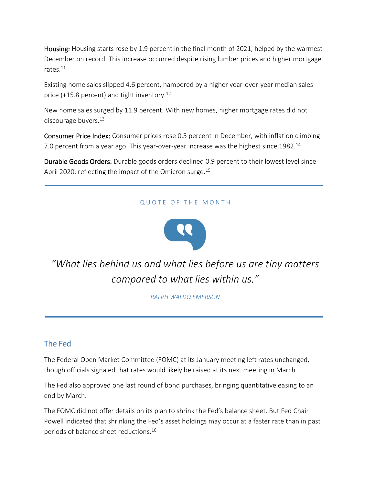Housing: Housing starts rose by 1.9 percent in the final month of 2021, helped by the warmest December on record. This increase occurred despite rising lumber prices and higher mortgage rates. $^{11}$ 

Existing home sales slipped 4.6 percent, hampered by a higher year-over-year median sales price  $(+15.8$  percent) and tight inventory.<sup>12</sup>

New home sales surged by 11.9 percent. With new homes, higher mortgage rates did not discourage buyers. $^{13}$ 

Consumer Price Index: Consumer prices rose 0.5 percent in December, with inflation climbing 7.0 percent from a year ago. This year-over-year increase was the highest since  $1982.^{14}$ 

Durable Goods Orders: Durable goods orders declined 0.9 percent to their lowest level since April 2020, reflecting the impact of the Omicron surge.<sup>15</sup>

#### QUOTE OF THE MONTH



*"What lies behind us and what lies before us are tiny matters compared to what lies within us."*

*RALPH WALDO EMERSON*

## The Fed

The Federal Open Market Committee (FOMC) at its January meeting left rates unchanged, though officials signaled that rates would likely be raised at its next meeting in March.

The Fed also approved one last round of bond purchases, bringing quantitative easing to an end by March.

The FOMC did not offer details on its plan to shrink the Fed's balance sheet. But Fed Chair Powell indicated that shrinking the Fed's asset holdings may occur at a faster rate than in past periods of balance sheet reductions. 16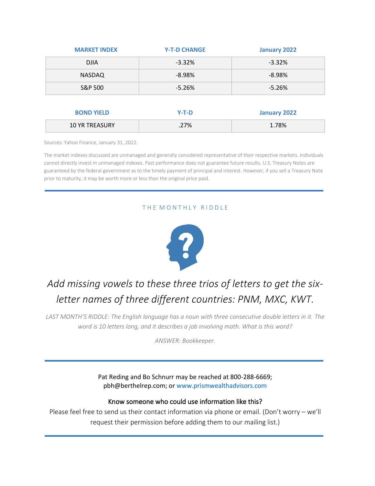| <b>MARKET INDEX</b> | <b>Y-T-D CHANGE</b> | January 2022 |
|---------------------|---------------------|--------------|
| <b>DJIA</b>         | $-3.32%$            | $-3.32%$     |
| <b>NASDAQ</b>       | $-8.98\%$           | $-8.98\%$    |
| S&P 500             | $-5.26%$            | $-5.26%$     |
|                     |                     |              |

| <b>BOND YIELD</b>     | Y-T-D | January 2022 |
|-----------------------|-------|--------------|
| <b>10 YR TREASURY</b> | .27%  | 1.78%        |

Sources: Yahoo Finance, January 31, 2022.

The market indexes discussed are unmanaged and generally considered representative of their respective markets. Individuals cannot directly invest in unmanaged indexes. Past performance does not guarantee future results. U.S. Treasury Notes are guaranteed by the federal government as to the timely payment of principal and interest. However, if you sell a Treasury Note prior to maturity, it may be worth more or less than the original price paid.

#### THE MONTHLY RIDDLE



## *Add missing vowels to these three trios of letters to get the sixletter names of three different countries: PNM, MXC, KWT.*

*LAST MONTH'S RIDDLE: The English language has a noun with three consecutive double letters in it. The word is 10 letters long, and it describes a job involving math. What is this word?*

*ANSWER: Bookkeeper.*

Pat Reding and Bo Schnurr may be reached at 800-288-6669; pbh@berthelrep.com; or www.prismwealthadvisors.com

#### Know someone who could use information like this?

Please feel free to send us their contact information via phone or email. (Don't worry – we'll request their permission before adding them to our mailing list.)